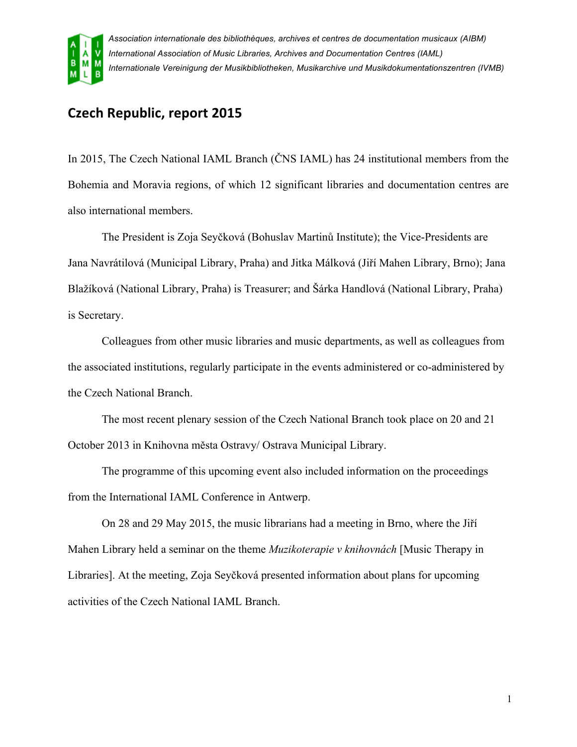

*Association internationale des bibliothèques, archives et centres de documentation musicaux (AIBM) International Association of Music Libraries, Archives and Documentation Centres (IAML) Internationale Vereinigung der Musikbibliotheken, Musikarchive und Musikdokumentationszentren (IVMB)*

## **Czech Republic, report 2015**

In 2015, The Czech National IAML Branch (ČNS IAML) has 24 institutional members from the Bohemia and Moravia regions, of which 12 significant libraries and documentation centres are also international members.

The President is Zoja Seyčková (Bohuslav Martinů Institute); the Vice-Presidents are Jana Navrátilová (Municipal Library, Praha) and Jitka Málková (Jiří Mahen Library, Brno); Jana Blažíková (National Library, Praha) is Treasurer; and Šárka Handlová (National Library, Praha) is Secretary.

Colleagues from other music libraries and music departments, as well as colleagues from the associated institutions, regularly participate in the events administered or co-administered by the Czech National Branch.

The most recent plenary session of the Czech National Branch took place on 20 and 21 October 2013 in Knihovna města Ostravy/ Ostrava Municipal Library.

The programme of this upcoming event also included information on the proceedings from the International IAML Conference in Antwerp.

On 28 and 29 May 2015, the music librarians had a meeting in Brno, where the Jiří Mahen Library held a seminar on the theme *Muzikoterapie v knihovnách* [Music Therapy in Libraries]. At the meeting, Zoja Seyčková presented information about plans for upcoming activities of the Czech National IAML Branch.